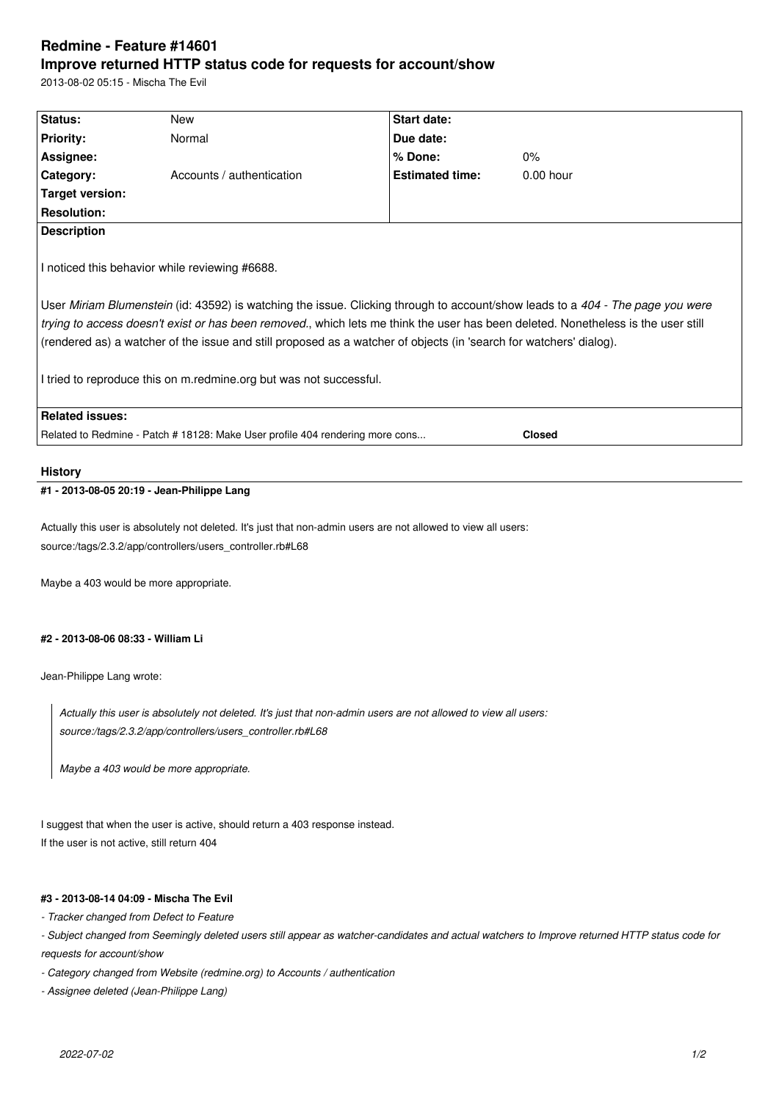## **Redmine - Feature #14601 Improve returned HTTP status code for requests for account/show**

2013-08-02 05:15 - Mischa The Evil

| Status:                                                                                                                           | New                                                                                                                            | Start date:            |             |
|-----------------------------------------------------------------------------------------------------------------------------------|--------------------------------------------------------------------------------------------------------------------------------|------------------------|-------------|
| <b>Priority:</b>                                                                                                                  | Normal                                                                                                                         | Due date:              |             |
| Assignee:                                                                                                                         |                                                                                                                                | % Done:                | 0%          |
| Category:                                                                                                                         | Accounts / authentication                                                                                                      | <b>Estimated time:</b> | $0.00$ hour |
| <b>Target version:</b>                                                                                                            |                                                                                                                                |                        |             |
| <b>Resolution:</b>                                                                                                                |                                                                                                                                |                        |             |
| <b>Description</b>                                                                                                                |                                                                                                                                |                        |             |
|                                                                                                                                   | I noticed this behavior while reviewing #6688.                                                                                 |                        |             |
|                                                                                                                                   | User Miriam Blumenstein (id: 43592) is watching the issue. Clicking through to account/show leads to a 404 - The page you were |                        |             |
| trying to access doesn't exist or has been removed., which lets me think the user has been deleted. Nonetheless is the user still |                                                                                                                                |                        |             |
|                                                                                                                                   | (rendered as) a watcher of the issue and still proposed as a watcher of objects (in 'search for watchers' dialog).             |                        |             |
|                                                                                                                                   | I tried to reproduce this on m.redmine.org but was not successful.                                                             |                        |             |
| <b>Related issues:</b>                                                                                                            |                                                                                                                                |                        |             |
| Related to Redmine - Patch # 18128: Make User profile 404 rendering more cons<br><b>Closed</b>                                    |                                                                                                                                |                        |             |
| <b>History</b>                                                                                                                    | #1 - 2013-08-05 20:19 - Jean-Philippe Lang                                                                                     |                        |             |
|                                                                                                                                   |                                                                                                                                |                        |             |
| Actually this user is absolutely not deleted. It's just that non-admin users are not allowed to view all users:                   |                                                                                                                                |                        |             |
| source:/tags/2.3.2/app/controllers/users_controller.rb#L68                                                                        |                                                                                                                                |                        |             |
|                                                                                                                                   | Maybe a 403 would be more appropriate.                                                                                         |                        |             |
|                                                                                                                                   |                                                                                                                                |                        |             |
| #2 - 2013-08-06 08:33 - William Li                                                                                                |                                                                                                                                |                        |             |
| Jean-Philippe Lang wrote:                                                                                                         |                                                                                                                                |                        |             |
| Actually this user is absolutely not deleted. It's just that non-admin users are not allowed to view all users:                   |                                                                                                                                |                        |             |
| source:/tags/2.3.2/app/controllers/users_controller.rb#L68                                                                        |                                                                                                                                |                        |             |
|                                                                                                                                   |                                                                                                                                |                        |             |
| Maybe a 403 would be more appropriate.                                                                                            |                                                                                                                                |                        |             |
|                                                                                                                                   |                                                                                                                                |                        |             |
|                                                                                                                                   | I suggest that when the user is active, should return a 403 response instead.                                                  |                        |             |
| If the user is not active, still return 404                                                                                       |                                                                                                                                |                        |             |
|                                                                                                                                   |                                                                                                                                |                        |             |

## **#3 - 2013-08-14 04:09 - Mischa The Evil**

*- Tracker changed from Defect to Feature*

*- Subject changed from Seemingly deleted users still appear as watcher-candidates and actual watchers to Improve returned HTTP status code for requests for account/show*

*- Category changed from Website (redmine.org) to Accounts / authentication*

*- Assignee deleted (Jean-Philippe Lang)*